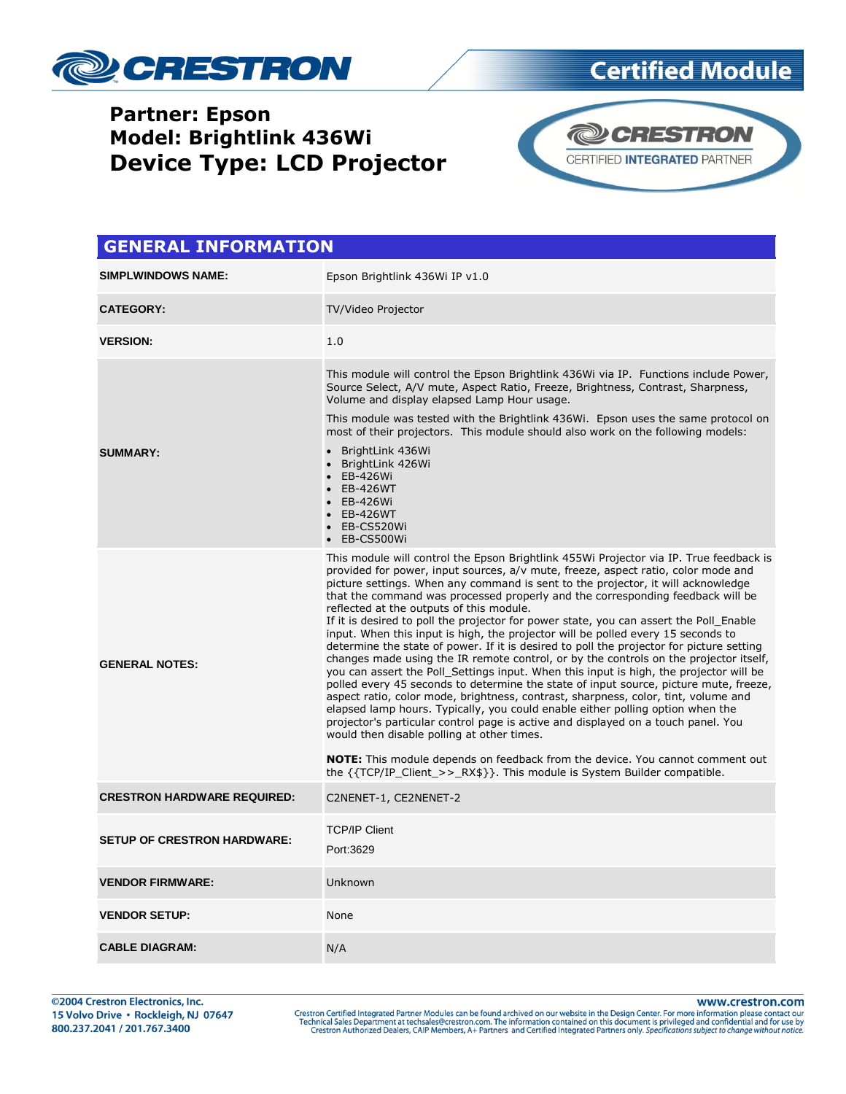

## **Partner: Epson Model: Brightlink 436Wi Device Type: LCD Projector**



**Certified Module** 

## **GENERAL INFORMATION SIMPLWINDOWS NAME:** Epson Brightlink 436Wi IP v1.0 **CATEGORY:** TV/Video Projector **VERSION:** 1.0 **SUMMARY:** This module will control the Epson Brightlink 436Wi via IP. Functions include Power, Source Select, A/V mute, Aspect Ratio, Freeze, Brightness, Contrast, Sharpness, Volume and display elapsed Lamp Hour usage. This module was tested with the Brightlink 436Wi. Epson uses the same protocol on most of their projectors. This module should also work on the following models: BrightLink 436Wi BrightLink 426Wi EB-426Wi EB-426WT EB-426Wi EB-426WT EB-CS520Wi EB-CS500Wi **GENERAL NOTES:** This module will control the Epson Brightlink 455Wi Projector via IP. True feedback is provided for power, input sources, a/v mute, freeze, aspect ratio, color mode and picture settings. When any command is sent to the projector, it will acknowledge that the command was processed properly and the corresponding feedback will be reflected at the outputs of this module. If it is desired to poll the projector for power state, you can assert the Poll\_Enable input. When this input is high, the projector will be polled every 15 seconds to determine the state of power. If it is desired to poll the projector for picture setting changes made using the IR remote control, or by the controls on the projector itself, you can assert the Poll\_Settings input. When this input is high, the projector will be polled every 45 seconds to determine the state of input source, picture mute, freeze, aspect ratio, color mode, brightness, contrast, sharpness, color, tint, volume and elapsed lamp hours. Typically, you could enable either polling option when the projector's particular control page is active and displayed on a touch panel. You would then disable polling at other times. **NOTE:** This module depends on feedback from the device. You cannot comment out the {{TCP/IP\_Client\_>>\_RX\$}}. This module is System Builder compatible. **CRESTRON HARDWARE REQUIRED:** C2NENET-1, CE2NENET-2 **SETUP OF CRESTRON HARDWARE:** TCP/IP Client Port:3629 **VENDOR FIRMWARE:** Unknown **VENDOR SETUP:** None **CABLE DIAGRAM:** N/A

www.crestron.com

Crestron Certified Integrated Partner Modules can be found archived on our website in the Design Center. For more information please contact our<br>Technical Sales Department at techsales@crestron.com. The information contain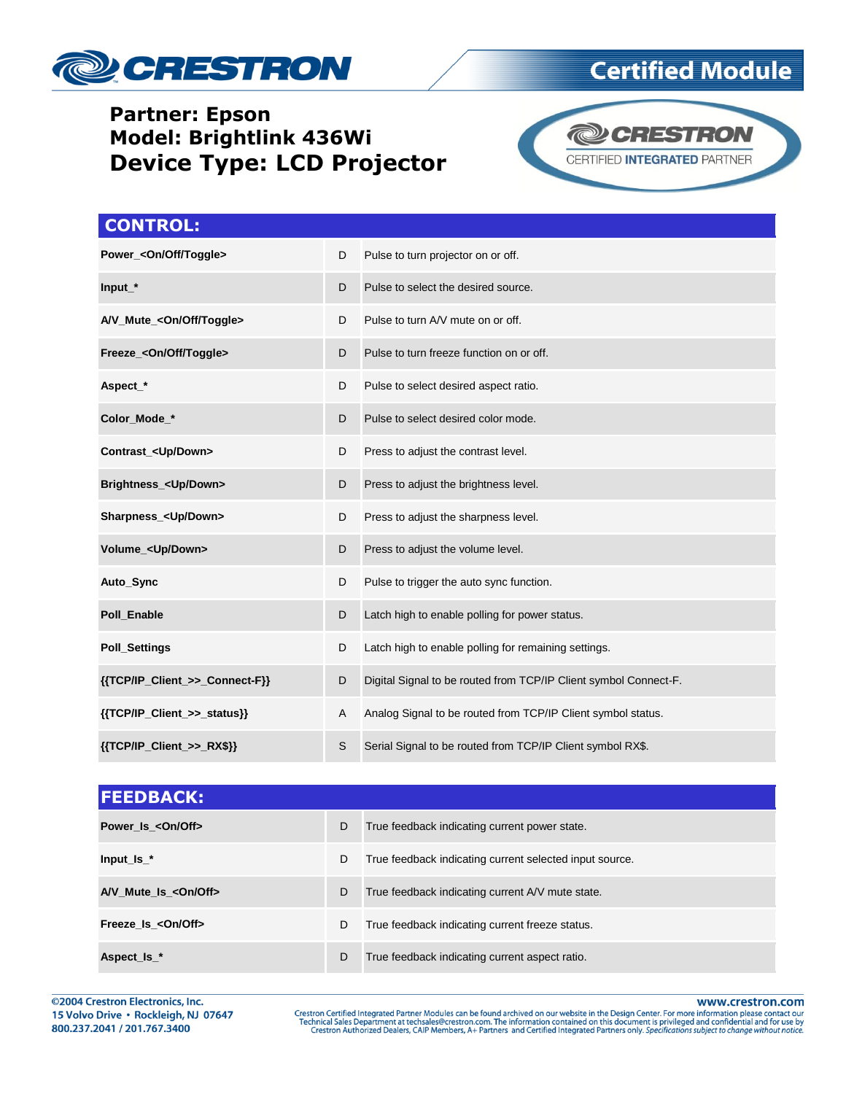

## **Partner: Epson Model: Brightlink 436Wi Device Type: LCD Projector**



**Certified Module** 

| <b>CONTROL:</b>                      |   |                                                                  |
|--------------------------------------|---|------------------------------------------------------------------|
| Power_ <on off="" toggle=""></on>    | D | Pulse to turn projector on or off.                               |
| Input_*                              | D | Pulse to select the desired source.                              |
| A/V_Mute_ <on off="" toggle=""></on> | D | Pulse to turn A/V mute on or off.                                |
| Freeze_ <on off="" toggle=""></on>   | D | Pulse to turn freeze function on or off.                         |
| Aspect_*                             | D | Pulse to select desired aspect ratio.                            |
| Color Mode *                         | D | Pulse to select desired color mode.                              |
| Contrast_ <up down=""></up>          | D | Press to adjust the contrast level.                              |
| Brightness_ <up down=""></up>        | D | Press to adjust the brightness level.                            |
| Sharpness_ <up down=""></up>         | D | Press to adjust the sharpness level.                             |
| Volume_ <up down=""></up>            | D | Press to adjust the volume level.                                |
| Auto_Sync                            | D | Pulse to trigger the auto sync function.                         |
| Poll Enable                          | D | Latch high to enable polling for power status.                   |
| <b>Poll_Settings</b>                 | D | Latch high to enable polling for remaining settings.             |
| {{TCP/IP_Client_>>_Connect-F}}       | D | Digital Signal to be routed from TCP/IP Client symbol Connect-F. |
| {{TCP/IP_Client_>>_status}}          | A | Analog Signal to be routed from TCP/IP Client symbol status.     |
| ${TCP/IP_Client >> RX$}$             | S | Serial Signal to be routed from TCP/IP Client symbol RX\$.       |

| <b>FEEDBACK:</b>     |   |                                                         |
|----------------------|---|---------------------------------------------------------|
| Power Is < On/Off>   | D | True feedback indicating current power state.           |
| Input $Is$ $*$       | D | True feedback indicating current selected input source. |
| A/V Mute Is <0n/0ff> | D | True feedback indicating current A/V mute state.        |
| Freeze Is < On/Off>  | D | True feedback indicating current freeze status.         |
| Aspect_Is_*          | D | True feedback indicating current aspect ratio.          |

@2004 Crestron Electronics, Inc. 15 Volvo Drive · Rockleigh, NJ 07647 800.237.2041 / 201.767.3400

www.crestron.com

Crestron Certified Integrated Partner Modules can be found archived on our website in the Design Center. For more information please contact our<br>Technical Sales Department at techsales@crestron.com. The information contain